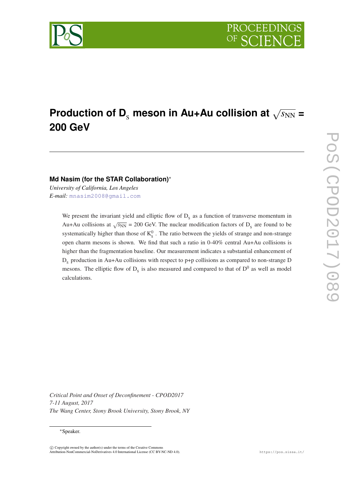# $\boldsymbol{\mathsf{Production}}$  of  $\boldsymbol{\mathsf{D}}_{\text{s}}$  meson in Au+Au collision at  $\sqrt{s_\text{NN}}$  = **200 GeV**

**Md Nasim (for the STAR Collaboration)**<sup>∗</sup>

*University of California, Los Angeles E-mail:* [mnasim2008@gmail.com](mailto:mnasim2008@gmail.com)

> We present the invariant yield and elliptic flow of  $D_s$  as a function of transverse momentum in Au+Au collisions at  $\sqrt{s_{NN}}$  = 200 GeV. The nuclear modification factors of D<sub>s</sub> are found to be systematically higher than those of  $K_S^0$ . The ratio between the yields of strange and non-strange open charm mesons is shown. We find that such a ratio in 0-40% central Au+Au collisions is higher than the fragmentation baseline. Our measurement indicates a substantial enhancement of  $D_s$  production in Au+Au collisions with respect to p+p collisions as compared to non-strange D mesons. The elliptic flow of  $D_s$  is also measured and compared to that of  $D^0$  as well as model calculations.

*Critical Point and Onset of Deconfinement - CPOD2017 7-11 August, 2017 The Wang Center, Stony Brook University, Stony Brook, NY*



<sup>∗</sup>Speaker.

 $\overline{c}$  Copyright owned by the author(s) under the terms of the Creative Common Attribution-NonCommercial-NoDerivatives 4.0 International License (CC BY-NC-ND 4.0). https://pos.sissa.it/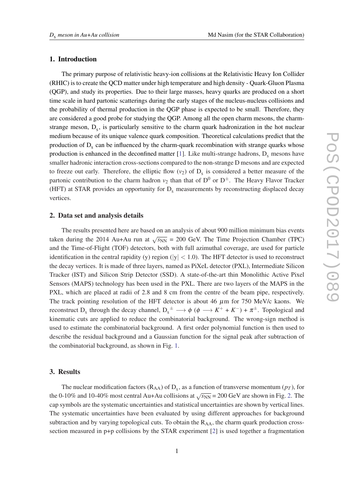# 1. Introduction

The primary purpose of relativistic heavy-ion collisions at the Relativistic Heavy Ion Collider (RHIC) is to create the QCD matter under high temperature and high density - Quark-Gluon Plasma (QGP), and study its properties. Due to their large masses, heavy quarks are produced on a short time scale in hard partonic scatterings during the early stages of the nucleus-nucleus collisions and the probability of thermal production in the QGP phase is expected to be small. Therefore, they are considered a good probe for studying the QGP. Among all the open charm mesons, the charmstrange meson,  $D_s$ , is particularly sensitive to the charm quark hadronization in the hot nuclear medium because of its unique valence quark composition. Theoretical calculations predict that the production of  $D_s$  can be influenced by the charm-quark recombination with strange quarks whose production is enhanced in the deconfined matter  $[1]$  $[1]$  $[1]$ . Like multi-strange hadrons,  $D_s$  mesons have smaller hadronic interaction cross-sections compared to the non-strange D mesons and are expected to freeze out early. Therefore, the elliptic flow  $(v_2)$  of  $D_s$  is considered a better measure of the partonic contribution to the charm hadron  $v_2$  than that of  $D^0$  or  $D^{\pm}$ . The Heavy Flavor Tracker (HFT) at STAR provides an opportunity for  $D_s$  measurements by reconstructing displaced decay vertices.

# 2. Data set and analysis details

The results presented here are based on an analysis of about 900 million minimum bias events taken during the 2014 Au+Au run at  $\sqrt{s_{NN}}$  = 200 GeV. The Time Projection Chamber (TPC) and the Time-of-Flight (TOF) detectors, both with full azimuthal coverage, are used for particle identification in the central rapidity (y) region ( $|y| < 1.0$ ). The HFT detector is used to reconstruct the decay vertices. It is made of three layers, named as PiXeL detector (PXL), Intermediate Silicon Tracker (IST) and Silicon Strip Detector (SSD). A state-of-the-art thin Monolithic Active Pixel Sensors (MAPS) technology has been used in the PXL. There are two layers of the MAPS in the PXL, which are placed at radii of 2.8 and 8 cm from the centre of the beam pipe, respectively. The track pointing resolution of the HFT detector is about 46  $\mu$ m for 750 MeV/c kaons. We reconstruct D<sub>s</sub> through the decay channel,  $D_s^{\pm} \longrightarrow \phi$  ( $\phi \longrightarrow K^+ + K^- + \pi^{\pm}$ . Topological and kinematic cuts are applied to reduce the combinatorial background. The wrong-sign method is used to estimate the combinatorial background. A first order polynomial function is then used to describe the residual background and a Gaussian function for the signal peak after subtraction of the combinatorial background, as shown in Fig. [1](#page-2-0).

# 3. Results

The nuclear modification factors ( $R_{AA}$ ) of  $D_s$ , as a function of transverse momentum ( $p_T$ ), for the 0-10% and 10-40% most central Au+Au collisions at  $\sqrt{s_{NN}}$  = [2](#page-2-0)00 GeV are shown in Fig. 2. The cap symbols are the systematic uncertainties and statistical uncertainties are shown by vertical lines. The systematic uncertainties have been evaluated by using different approaches for background subtraction and by varying topological cuts. To obtain the  $R_{AA}$ , the charm quark production crosssection measured in p+p collisions by the STAR experiment [\[2\]](#page-4-0) is used together a fragmentation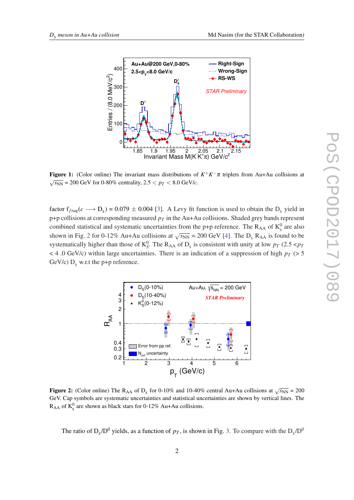<span id="page-2-0"></span>

**Figure 1:** (Color online) The invariant mass distributions of  $K^+K^-\pi$  triplets from Au+Au collisions at  $\sqrt{s_{NN}}$  = 200 GeV for 0-80% centrality, 2.5  $\lt p_T \lt 8.0$  GeV/*c*.

factor  $f_{frag}(c \rightarrow D_s) = 0.079 \pm 0.004$  [\[3\]](#page-4-0). A Levy fit function is used to obtain the  $D_s$  yield in  $p+p$  collisions at corresponding measured  $p_T$  in the Au+Au collisions. Shaded grey bands represent combined statistical and systematic uncertainties from the p+p reference. The  $R_{AA}$  of  $K_s^0$  are also shown in Fig. 2 for 0-12% Au+Au collisions at  $\sqrt{s_{NN}}$  = 200 GeV [\[4\]](#page-4-0). The D<sub>s</sub> R<sub>AA</sub> is found to be systematically higher than those of  $K_S^0$ . The R<sub>AA</sub> of D<sub>s</sub> is consistent with unity at low  $p_T$  (2.5 <  $p_T$ )  $<$  4.0 GeV/c) within large uncertainties. There is an indication of a suppression of high  $p<sub>T</sub>$  (> 5 GeV/c)  $D_s$  w.r.t the p+p reference.



Figure 2: (Color online) The R<sub>AA</sub> of D<sub>s</sub> for 0-10% and 10-40% central Au+Au collisions at  $\sqrt{s_{NN}}$  = 200 GeV. Cap symbols are systematic uncertainties and statistical uncertainties are shown by vertical lines. The  $R_{AA}$  of  $K_s^0$  are shown as black stars for 0-12% Au+Au collisions.

The ratio of  $D_s/D^0$  yields, as a function of  $p_T$ , is shown in Fig. [3.](#page-3-0) To compare with the  $D_s/D^0$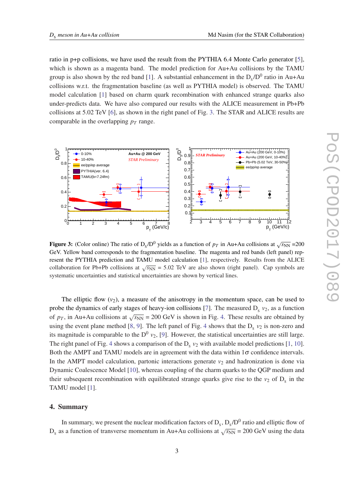<span id="page-3-0"></span>ratio in p+p collisions, we have used the result from the PYTHIA 6.4 Monte Carlo generator [\[5\]](#page-4-0), which is shown as a magenta band. The model prediction for Au+Au collisions by the TAMU group is also shown by the red band [[1](#page-4-0)]. A substantial enhancement in the  $D_s/D^0$  ratio in Au+Au collisions w.r.t. the fragmentation baseline (as well as PYTHIA model) is observed. The TAMU model calculation [[1](#page-4-0)] based on charm quark recombination with enhanced strange quarks also under-predicts data. We have also compared our results with the ALICE measurement in Pb+Pb collisions at 5.02 TeV [[6](#page-4-0)], as shown in the right panel of Fig. 3. The STAR and ALICE results are comparable in the overlapping  $p_T$  range.



Figure 3: (Color online) The ratio of  $D_s/D^0$  yields as a function of  $p_T$  in Au+Au collisions at  $\sqrt{s_{NN}}$  =200 GeV. Yellow band corresponds to the fragmentation baseline. The magenta and red bands (left panel) represent the PYTHIA prediction and TAMU model calculation [\[1\]](#page-4-0), respectively. Results from the ALICE collaboration for Pb+Pb collisions at  $\sqrt{s_{NN}}$  = 5.02 TeV are also shown (right panel). Cap symbols are systematic uncertainties and statistical uncertainties are shown by vertical lines.

The elliptic flow  $(v_2)$ , a measure of the anisotropy in the momentum space, can be used to probe the dynamics of early stages of heavy-ion collisions [\[7\]](#page-4-0). The measured  $D_s$   $v_2$ , as a function of  $p_T$ , in Au+Au collisions at  $\sqrt{s_{NN}}$  = 200 GeV is shown in Fig. [4](#page-4-0). These results are obtained by using the event plane method [[8](#page-4-0), [9](#page-4-0)]. The left panel of Fig. [4](#page-4-0) shows that the  $D_s$   $v_2$  is non-zero and its magnitude is comparable to the  $D^0$   $v_2$ , [[9](#page-4-0)]. However, the statistical uncertainties are still large. The right panel of Fig. [4](#page-4-0) shows a comparison of the  $D_s v_2$  with available model predictions [[1](#page-4-0), [10\]](#page-4-0). Both the AMPT and TAMU models are in agreement with the data within  $1\sigma$  confidence intervals. In the AMPT model calculation, partonic interactions generate  $v_2$  and hadronization is done via Dynamic Coalescence Model [[10\]](#page-4-0), whereas coupling of the charm quarks to the QGP medium and their subsequent recombination with equilibrated strange quarks give rise to the  $v_2$  of  $D_s$  in the TAMU model [[1](#page-4-0)].

# 4. Summary

In summary, we present the nuclear modification factors of  $D_s$ ,  $D_s/D^0$  ratio and elliptic flow of  $D_s$  as a function of transverse momentum in Au+Au collisions at  $\sqrt{s_{NN}}$  = 200 GeV using the data